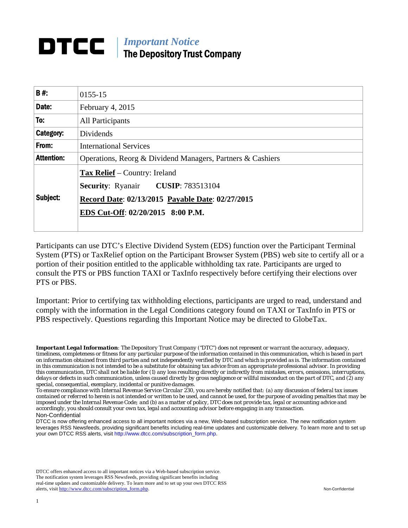#### *Important Notice*  DTCC I The Depository Trust Company

| B#:               | 0155-15                                                                                                                                                                    |
|-------------------|----------------------------------------------------------------------------------------------------------------------------------------------------------------------------|
| Date:             | February 4, 2015                                                                                                                                                           |
| To:               | <b>All Participants</b>                                                                                                                                                    |
| Category:         | Dividends                                                                                                                                                                  |
| From:             | <b>International Services</b>                                                                                                                                              |
| <b>Attention:</b> | Operations, Reorg & Dividend Managers, Partners & Cashiers                                                                                                                 |
| Subject:          | <b>Tax Relief</b> – Country: Ireland<br><b>Security: Ryanair CUSIP: 783513104</b><br>Record Date: 02/13/2015 Payable Date: 02/27/2015<br>EDS Cut-Off: 02/20/2015 8:00 P.M. |

Participants can use DTC's Elective Dividend System (EDS) function over the Participant Terminal System (PTS) or TaxRelief option on the Participant Browser System (PBS) web site to certify all or a portion of their position entitled to the applicable withholding tax rate. Participants are urged to consult the PTS or PBS function TAXI or TaxInfo respectively before certifying their elections over PTS or PBS.

Important: Prior to certifying tax withholding elections, participants are urged to read, understand and comply with the information in the Legal Conditions category found on TAXI or TaxInfo in PTS or PBS respectively. Questions regarding this Important Notice may be directed to GlobeTax.

DTCC offers enhanced access to all important notices via a Web-based subscription service. The notification system leverages RSS Newsfeeds, providing significant benefits including real-time updates and customizable delivery. To learn more and to set up your own DTCC RSS alerts, visit http://www.dtcc.com/subscription\_form.php. Non-Confidential

*Important Legal Information: The Depository Trust Company ("DTC") does not represent or warrant the accuracy, adequacy, timeliness, completeness or fitness for any particular purpose of the information contained in this communication, which is based in part on information obtained from third parties and not independently verified by DTC and which is provided as is. The information contained in this communication is not intended to be a substitute for obtaining tax advice from an appropriate professional advisor. In providing this communication, DTC shall not be liable for (1) any loss resulting directly or indirectly from mistakes, errors, omissions, interruptions, delays or defects in such communication, unless caused directly by gross negligence or willful misconduct on the part of DTC, and (2) any special, consequential, exemplary, incidental or punitive damages.* 

*To ensure compliance with Internal Revenue Service Circular 230, you are hereby notified that: (a) any discussion of federal tax issues contained or referred to herein is not intended or written to be used, and cannot be used, for the purpose of avoiding penalties that may be imposed under the Internal Revenue Code; and (b) as a matter of policy, DTC does not provide tax, legal or accounting advice and accordingly, you should consult your own tax, legal and accounting advisor before engaging in any transaction.* Non-Confidential

DTCC is now offering enhanced access to all important notices via a new, Web-based subscription service. The new notification system leverages RSS Newsfeeds, providing significant benefits including real-time updates and customizable delivery. To learn more and to set up your own DTCC RSS alerts, visit http://www.dtcc.com/subscription\_form.php.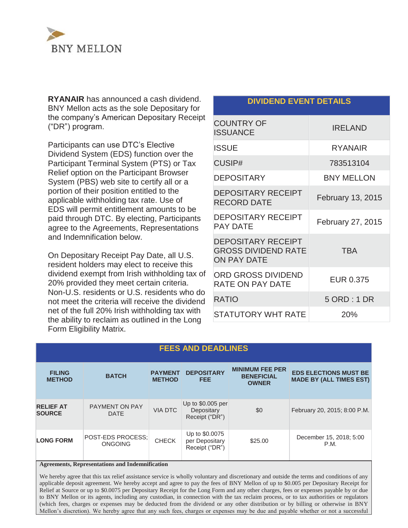

**RYANAIR** has announced a cash dividend. BNY Mellon acts as the sole Depositary for the company's American Depositary Receipt ("DR") program.

Participants can use DTC's Elective Dividend System (EDS) function over the Participant Terminal System (PTS) or Tax Relief option on the Participant Browser System (PBS) web site to certify all or a portion of their position entitled to the applicable withholding tax rate. Use of EDS will permit entitlement amounts to be paid through DTC. By electing, Participants agree to the Agreements, Representations and Indemnification below.

On Depositary Receipt Pay Date, all U.S. resident holders may elect to receive this dividend exempt from Irish withholding tax of 20% provided they meet certain criteria. Non-U.S. residents or U.S. residents who do not meet the criteria will receive the dividend net of the full 20% Irish withholding tax with the ability to reclaim as outlined in the Long Form Eligibility Matrix.

#### **DIVIDEND EVENT DETAILS**

| <b>COUNTRY OF</b><br><b>ISSUANCE</b>                                          | <b>IRELAND</b>    |
|-------------------------------------------------------------------------------|-------------------|
| <b>ISSUE</b>                                                                  | <b>RYANAIR</b>    |
| <b>CUSIP#</b>                                                                 | 783513104         |
| <b>DEPOSITARY</b>                                                             | <b>BNY MELLON</b> |
| <b>DEPOSITARY RECEIPT</b><br><b>RECORD DATE</b>                               | February 13, 2015 |
| <b>DEPOSITARY RECEIPT</b><br>PAY DATE                                         | February 27, 2015 |
| <b>DEPOSITARY RECEIPT</b><br><b>GROSS DIVIDEND RATE</b><br><b>ON PAY DATE</b> | TBA               |
| <b>ORD GROSS DIVIDEND</b><br><b>RATE ON PAY DATE</b>                          | <b>EUR 0.375</b>  |
| <b>RATIO</b>                                                                  | 5 ORD: 1 DR       |
| <b>STATUTORY WHT RATE</b>                                                     | 20%               |

| <b>FEES AND DEADLINES</b>         |                                            |                                 |                                                    |                                                             |                                                                |
|-----------------------------------|--------------------------------------------|---------------------------------|----------------------------------------------------|-------------------------------------------------------------|----------------------------------------------------------------|
| <b>FILING</b><br><b>METHOD</b>    | <b>BATCH</b>                               | <b>PAYMENT</b><br><b>METHOD</b> | <b>DEPOSITARY</b><br><b>FEE</b>                    | <b>MINIMUM FEE PER</b><br><b>BENEFICIAL</b><br><b>OWNER</b> | <b>EDS ELECTIONS MUST BE</b><br><b>MADE BY (ALL TIMES EST)</b> |
| <b>RELIEF AT</b><br><b>SOURCE</b> | <b>PAYMENT ON PAY</b><br><b>DATE</b>       | <b>VIA DTC</b>                  | Up to \$0.005 per<br>Depositary<br>Receipt ("DR")  | \$0                                                         | February 20, 2015; 8:00 P.M.                                   |
| <b>LONG FORM</b>                  | <b>POST-EDS PROCESS:</b><br><b>ONGOING</b> | <b>CHECK</b>                    | Up to \$0.0075<br>per Depositary<br>Receipt ("DR") | \$25.00                                                     | December 15, 2018; 5:00<br>P.M.                                |

**Agreements, Representations and Indemnification** 

We hereby agree that this tax relief assistance service is wholly voluntary and discretionary and outside the terms and conditions of any applicable deposit agreement. We hereby accept and agree to pay the fees of BNY Mellon of up to \$0.005 per Depositary Receipt for Relief at Source or up to \$0.0075 per Depositary Receipt for the Long Form and any other charges, fees or expenses payable by or due to BNY Mellon or its agents, including any custodian, in connection with the tax reclaim process, or to tax authorities or regulators (which fees, charges or expenses may be deducted from the dividend or any other distribution or by billing or otherwise in BNY Mellon's discretion). We hereby agree that any such fees, charges or expenses may be due and payable whether or not a successful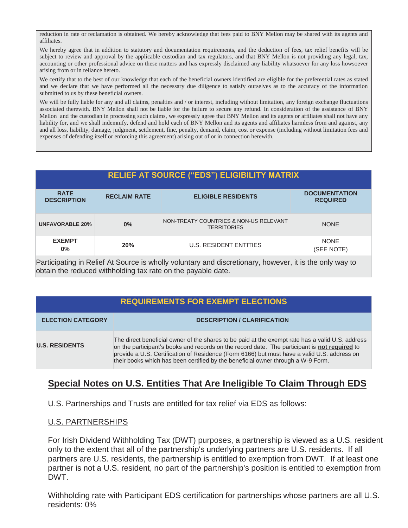reduction in rate or reclamation is obtained. We hereby acknowledge that fees paid to BNY Mellon may be shared with its agents and affiliates.

We hereby agree that in addition to statutory and documentation requirements, and the deduction of fees, tax relief benefits will be subject to review and approval by the applicable custodian and tax regulators, and that BNY Mellon is not providing any legal, tax, accounting or other professional advice on these matters and has expressly disclaimed any liability whatsoever for any loss howsoever arising from or in reliance hereto.

We certify that to the best of our knowledge that each of the beneficial owners identified are eligible for the preferential rates as stated and we declare that we have performed all the necessary due diligence to satisfy ourselves as to the accuracy of the information submitted to us by these beneficial owners.

We will be fully liable for any and all claims, penalties and / or interest, including without limitation, any foreign exchange fluctuations associated therewith. BNY Mellon shall not be liable for the failure to secure any refund. In consideration of the assistance of BNY Mellon and the custodian in processing such claims, we expressly agree that BNY Mellon and its agents or affiliates shall not have any liability for, and we shall indemnify, defend and hold each of BNY Mellon and its agents and affiliates harmless from and against, any and all loss, liability, damage, judgment, settlement, fine, penalty, demand, claim, cost or expense (including without limitation fees and expenses of defending itself or enforcing this agreement) arising out of or in connection herewith.

| <b>RELIEF AT SOURCE ("EDS") ELIGIBILITY MATRIX</b> |                     |                                                              |                                         |  |
|----------------------------------------------------|---------------------|--------------------------------------------------------------|-----------------------------------------|--|
| <b>RATE</b><br><b>DESCRIPTION</b>                  | <b>RECLAIM RATE</b> | <b>ELIGIBLE RESIDENTS</b>                                    | <b>DOCUMENTATION</b><br><b>REQUIRED</b> |  |
| <b>UNFAVORABLE 20%</b>                             | 0%                  | NON-TREATY COUNTRIES & NON-US RELEVANT<br><b>TERRITORIES</b> | <b>NONE</b>                             |  |
| <b>EXEMPT</b><br>$0\%$                             | 20%                 | <b>U.S. RESIDENT ENTITIES</b>                                | <b>NONE</b><br>(SEE NOTE)               |  |

Participating in Relief At Source is wholly voluntary and discretionary, however, it is the only way to obtain the reduced withholding tax rate on the payable date.

## **REQUIREMENTS FOR EXEMPT ELECTIONS**

| <b>ELECTION CATEGORY</b> | <b>DESCRIPTION / CLARIFICATION</b>                                                                                                                                                                                                                                                                                                                                                   |
|--------------------------|--------------------------------------------------------------------------------------------------------------------------------------------------------------------------------------------------------------------------------------------------------------------------------------------------------------------------------------------------------------------------------------|
| <b>U.S. RESIDENTS</b>    | The direct beneficial owner of the shares to be paid at the exempt rate has a valid U.S. address<br>on the participant's books and records on the record date. The participant is not required to<br>provide a U.S. Certification of Residence (Form 6166) but must have a valid U.S. address on<br>their books which has been certified by the beneficial owner through a W-9 Form. |

## **Special Notes on U.S. Entities That Are Ineligible To Claim Through EDS**

U.S. Partnerships and Trusts are entitled for tax relief via EDS as follows:

## U.S. PARTNERSHIPS

For Irish Dividend Withholding Tax (DWT) purposes, a partnership is viewed as a U.S. resident only to the extent that all of the partnership's underlying partners are U.S. residents. If all partners are U.S. residents, the partnership is entitled to exemption from DWT. If at least one partner is not a U.S. resident, no part of the partnership's position is entitled to exemption from DWT.

Withholding rate with Participant EDS certification for partnerships whose partners are all U.S. residents: 0%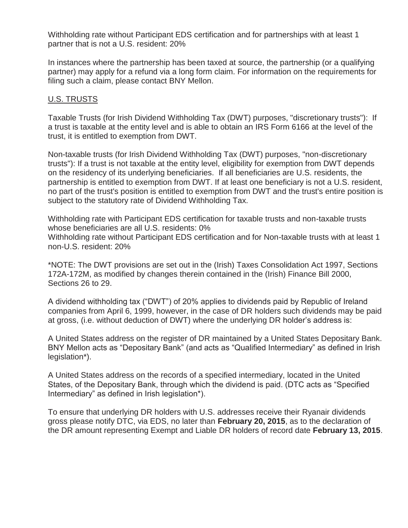Withholding rate without Participant EDS certification and for partnerships with at least 1 partner that is not a U.S. resident: 20%

In instances where the partnership has been taxed at source, the partnership (or a qualifying partner) may apply for a refund via a long form claim. For information on the requirements for filing such a claim, please contact BNY Mellon.

## U.S. TRUSTS

Taxable Trusts (for Irish Dividend Withholding Tax (DWT) purposes, "discretionary trusts"): If a trust is taxable at the entity level and is able to obtain an IRS Form 6166 at the level of the trust, it is entitled to exemption from DWT.

Non-taxable trusts (for Irish Dividend Withholding Tax (DWT) purposes, "non-discretionary trusts"): If a trust is not taxable at the entity level, eligibility for exemption from DWT depends on the residency of its underlying beneficiaries. If all beneficiaries are U.S. residents, the partnership is entitled to exemption from DWT. If at least one beneficiary is not a U.S. resident, no part of the trust's position is entitled to exemption from DWT and the trust's entire position is subject to the statutory rate of Dividend Withholding Tax.

Withholding rate with Participant EDS certification for taxable trusts and non-taxable trusts whose beneficiaries are all U.S. residents: 0%

Withholding rate without Participant EDS certification and for Non-taxable trusts with at least 1 non-U.S. resident: 20%

\*NOTE: The DWT provisions are set out in the (Irish) Taxes Consolidation Act 1997, Sections 172A-172M, as modified by changes therein contained in the (Irish) Finance Bill 2000, Sections 26 to 29.

A dividend withholding tax ("DWT") of 20% applies to dividends paid by Republic of Ireland companies from April 6, 1999, however, in the case of DR holders such dividends may be paid at gross, (i.e. without deduction of DWT) where the underlying DR holder's address is:

A United States address on the register of DR maintained by a United States Depositary Bank. BNY Mellon acts as "Depositary Bank" (and acts as "Qualified Intermediary" as defined in Irish legislation\*).

A United States address on the records of a specified intermediary, located in the United States, of the Depositary Bank, through which the dividend is paid. (DTC acts as "Specified Intermediary" as defined in Irish legislation\*).

To ensure that underlying DR holders with U.S. addresses receive their Ryanair dividends gross please notify DTC, via EDS, no later than **February 20, 2015**, as to the declaration of the DR amount representing Exempt and Liable DR holders of record date **February 13, 2015**.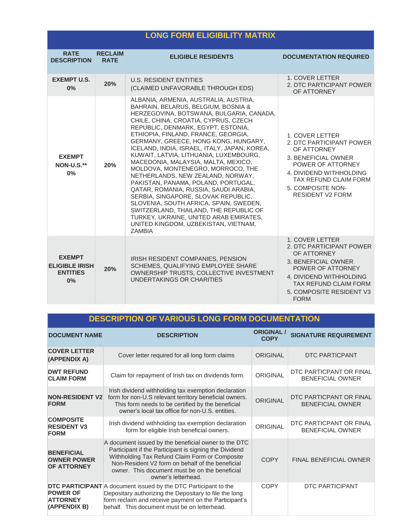|                                                                 |                               | <b>LONG FORM ELIGIBILITY MATRIX</b>                                                                                                                                                                                                                                                                                                                                                                                                                                                                                                                                                                                                                                                                                                                                                                            |                                                                                                                                                                                                              |
|-----------------------------------------------------------------|-------------------------------|----------------------------------------------------------------------------------------------------------------------------------------------------------------------------------------------------------------------------------------------------------------------------------------------------------------------------------------------------------------------------------------------------------------------------------------------------------------------------------------------------------------------------------------------------------------------------------------------------------------------------------------------------------------------------------------------------------------------------------------------------------------------------------------------------------------|--------------------------------------------------------------------------------------------------------------------------------------------------------------------------------------------------------------|
| <b>RATE</b><br><b>DESCRIPTION</b>                               | <b>RECLAIM</b><br><b>RATE</b> | <b>ELIGIBLE RESIDENTS</b>                                                                                                                                                                                                                                                                                                                                                                                                                                                                                                                                                                                                                                                                                                                                                                                      | <b>DOCUMENTATION REQUIRED</b>                                                                                                                                                                                |
| <b>EXEMPT U.S.</b><br>$0\%$                                     | 20%                           | <b>U.S. RESIDENT ENTITIES</b><br>(CLAIMED UNFAVORABLE THROUGH EDS)                                                                                                                                                                                                                                                                                                                                                                                                                                                                                                                                                                                                                                                                                                                                             | <b>1. COVER LETTER</b><br>2. DTC PARTICIPANT POWER<br>OF ATTORNEY                                                                                                                                            |
| <b>EXEMPT</b><br><b>NON-U.S.**</b><br>0%                        | 20%                           | ALBANIA, ARMENIA, AUSTRALIA, AUSTRIA,<br>BAHRAIN, BELARUS, BELGIUM, BOSNIA &<br>HERZEGOVINA, BOTSWANA, BULGARIA, CANADA,<br>CHILE, CHINA, CROATIA, CYPRUS, CZECH<br>REPUBLIC, DENMARK, EGYPT, ESTONIA,<br>ETHIOPIA, FINLAND, FRANCE, GEORGIA,<br>GERMANY, GREECE, HONG KONG, HUNGARY,<br>ICELAND, INDIA, ISRAEL, ITALY, JAPAN, KOREA,<br>KUWAIT, LATVIA, LITHUANIA, LUXEMBOURG,<br>MACEDONIA, MALAYSIA, MALTA, MEXICO,<br>MOLDOVA, MONTENEGRO, MORROCO, THE<br>NETHERLANDS, NEW ZEALAND, NORWAY,<br>PAKISTAN, PANAMA, POLAND, PORTUGAL,<br>QATAR, ROMANIA, RUSSIA, SAUDI ARABIA,<br>SERBIA, SINGAPORE, SLOVAK REPUBLIC,<br>SLOVENIA, SOUTH AFRICA, SPAIN, SWEDEN,<br>SWITZERLAND, THAILAND, THE REPUBLIC OF<br>TURKEY, UKRAINE, UNITED ARAB EMIRATES,<br>UNITED KINGDOM, UZBEKISTAN, VIETNAM,<br><b>ZAMBIA</b> | 1. COVER LETTER<br>2. DTC PARTICIPANT POWER<br>OF ATTORNEY<br>3. BENEFICIAL OWNER<br>POWER OF ATTORNEY<br>4. DIVIDEND WITHHOLDING<br>TAX REFUND CLAIM FORM<br>5. COMPOSITE NON-<br><b>RESIDENT V2 FORM</b>   |
| <b>EXEMPT</b><br><b>ELIGIBLE IRISH</b><br><b>ENTITIES</b><br>0% | 20%                           | IRISH RESIDENT COMPANIES, PENSION<br>SCHEMES, QUALIFYING EMPLOYEE SHARE<br>OWNERSHIP TRUSTS, COLLECTIVE INVESTMENT<br>UNDERTAKINGS OR CHARITIES                                                                                                                                                                                                                                                                                                                                                                                                                                                                                                                                                                                                                                                                | <b>1. COVER LETTER</b><br>2. DTC PARTICIPANT POWER<br>OF ATTORNEY<br>3. BENEFICIAL OWNER<br>POWER OF ATTORNEY<br>4. DIVIDEND WITHHOLDING<br>TAX REFUND CLAIM FORM<br>5. COMPOSITE RESIDENT V3<br><b>FORM</b> |

## **DESCRIPTION OF VARIOUS LONG FORM DOCUMENTATION**

| <b>DOCUMENT NAME</b>                                          | <b>DESCRIPTION</b>                                                                                                                                                                                                                                                                            | <b>ORIGINAL /</b><br><b>COPY</b> | <b>SIGNATURE REQUIREMENT</b>                       |
|---------------------------------------------------------------|-----------------------------------------------------------------------------------------------------------------------------------------------------------------------------------------------------------------------------------------------------------------------------------------------|----------------------------------|----------------------------------------------------|
| <b>COVER LETTER</b><br>(APPENDIX A)                           | Cover letter required for all long form claims                                                                                                                                                                                                                                                | ORIGINAL                         | DTC PARTICPANT                                     |
| <b>DWT REFUND</b><br><b>CLAIM FORM</b>                        | Claim for repayment of Irish tax on dividends form.                                                                                                                                                                                                                                           | <b>ORIGINAL</b>                  | DTC PARTICPANT OR FINAL<br><b>BENEFICIAL OWNER</b> |
| <b>NON-RESIDENT V2</b><br><b>FORM</b>                         | Irish dividend withholding tax exemption declaration<br>form for non-U.S relevant territory beneficial owners.<br>This form needs to be certified by the beneficial<br>owner's local tax office for non-U.S. entities.                                                                        | <b>ORIGINAL</b>                  | DTC PARTICPANT OR FINAL<br><b>BENEFICIAL OWNER</b> |
| <b>COMPOSITE</b><br><b>RESIDENT V3</b><br><b>FORM</b>         | Irish dividend withholding tax exemption declaration<br>form for eligible Irish beneficial owners.                                                                                                                                                                                            | <b>ORIGINAL</b>                  | DTC PARTICPANT OR FINAL<br><b>BENEFICIAL OWNER</b> |
| <b>BENEFICIAL</b><br><b>OWNER POWER</b><br><b>OF ATTORNEY</b> | A document issued by the beneficial owner to the DTC<br>Participant if the Participant is signing the Dividend<br>Withholding Tax Refund Claim Form or Composite<br>Non-Resident V2 form on behalf of the beneficial<br>owner. This document must be on the beneficial<br>owner's letterhead. | <b>COPY</b>                      | <b>FINAL BENEFICIAL OWNER</b>                      |
| <b>POWER OF</b><br><b>ATTORNEY</b><br>(APPENDIX B)            | DTC PARTICIPANT A document issued by the DTC Participant to the<br>Depositary authorizing the Depositary to file the long<br>form reclaim and receive payment on the Participant's<br>behalf. This document must be on letterhead.                                                            | COPY                             | DTC PARTICIPANT                                    |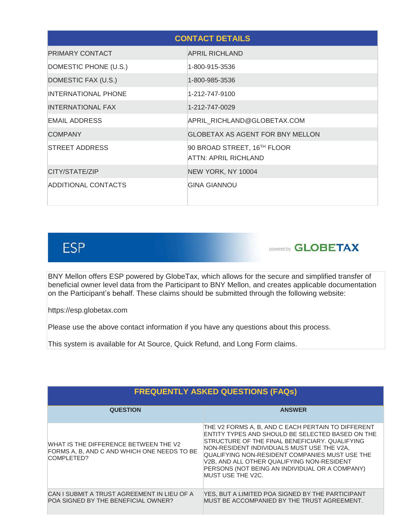|                            | <b>CONTACT DETAILS</b>                              |
|----------------------------|-----------------------------------------------------|
| PRIMARY CONTACT            | <b>APRIL RICHLAND</b>                               |
| DOMESTIC PHONE (U.S.)      | 1-800-915-3536                                      |
| DOMESTIC FAX (U.S.)        | 1-800-985-3536                                      |
| <b>INTERNATIONAL PHONE</b> | 1-212-747-9100                                      |
| INTERNATIONAL FAX          | 1-212-747-0029                                      |
| <b>EMAIL ADDRESS</b>       | APRIL_RICHLAND@GLOBETAX.COM                         |
| <b>COMPANY</b>             | <b>GLOBETAX AS AGENT FOR BNY MELLON</b>             |
| <b>STREET ADDRESS</b>      | 90 BROAD STREET, 16TH FLOOR<br>ATTN: APRIL RICHLAND |
| CITY/STATE/ZIP             | NEW YORK, NY 10004                                  |
| ADDITIONAL CONTACTS        | <b>GINA GIANNOU</b>                                 |

# **ESP**

**powered by GLOBETAX** 

BNY Mellon offers ESP powered by GlobeTax, which allows for the secure and simplified transfer of beneficial owner level data from the Participant to BNY Mellon, and creates applicable documentation on the Participant's behalf. These claims should be submitted through the following website:

https://esp.globetax.com

Please use the above contact information if you have any questions about this process.

This system is available for At Source, Quick Refund, and Long Form claims.

| <b>FREQUENTLY ASKED QUESTIONS (FAQs)</b>                                                           |                                                                                                                                                                                                                                                                                                                                                                               |  |  |  |
|----------------------------------------------------------------------------------------------------|-------------------------------------------------------------------------------------------------------------------------------------------------------------------------------------------------------------------------------------------------------------------------------------------------------------------------------------------------------------------------------|--|--|--|
| <b>QUESTION</b>                                                                                    | <b>ANSWER</b>                                                                                                                                                                                                                                                                                                                                                                 |  |  |  |
| WHAT IS THE DIFFERENCE BETWEEN THE V2<br>FORMS A. B. AND C AND WHICH ONE NEEDS TO BE<br>COMPLETED? | THE V2 FORMS A, B, AND C EACH PERTAIN TO DIFFERENT<br>ENTITY TYPES AND SHOULD BE SELECTED BASED ON THE<br>STRUCTURE OF THE FINAL BENEFICIARY, QUALIFYING<br>NON-RESIDENT INDIVIDUALS MUST USE THE V2A,<br>QUALIFYING NON-RESIDENT COMPANIES MUST USE THE<br>V2B, AND ALL OTHER QUALIFYING NON-RESIDENT<br>PERSONS (NOT BEING AN INDIVIDUAL OR A COMPANY)<br>MUST USE THE V2C. |  |  |  |
| CAN I SUBMIT A TRUST AGREEMENT IN LIEU OF A<br>POA SIGNED BY THE BENEFICIAL OWNER?                 | YES, BUT A LIMITED POA SIGNED BY THE PARTICIPANT<br>MUST BE ACCOMPANIED BY THE TRUST AGREEMENT.                                                                                                                                                                                                                                                                               |  |  |  |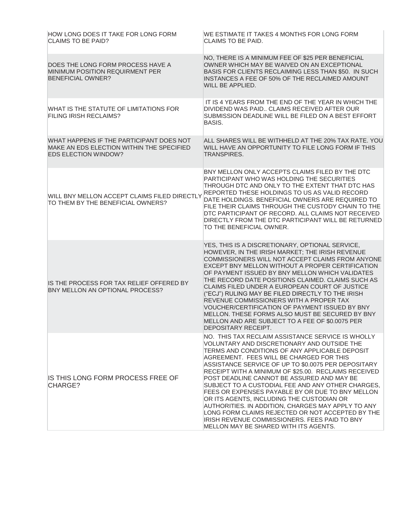| HOW LONG DOES IT TAKE FOR LONG FORM<br>CLAIMS TO BE PAID?                                                            | WE ESTIMATE IT TAKES 4 MONTHS FOR LONG FORM<br><b>CLAIMS TO BE PAID.</b>                                                                                                                                                                                                                                                                                                                                                                                                                                                                                                                                                                                                                                              |
|----------------------------------------------------------------------------------------------------------------------|-----------------------------------------------------------------------------------------------------------------------------------------------------------------------------------------------------------------------------------------------------------------------------------------------------------------------------------------------------------------------------------------------------------------------------------------------------------------------------------------------------------------------------------------------------------------------------------------------------------------------------------------------------------------------------------------------------------------------|
| DOES THE LONG FORM PROCESS HAVE A<br>MINIMUM POSITION REQUIRMENT PER<br><b>BENEFICIAL OWNER?</b>                     | NO, THERE IS A MINIMUM FEE OF \$25 PER BENEFICIAL<br>OWNER WHICH MAY BE WAIVED ON AN EXCEPTIONAL<br>BASIS FOR CLIENTS RECLAIMING LESS THAN \$50. IN SUCH<br>INSTANCES A FEE OF 50% OF THE RECLAIMED AMOUNT<br>WILL BE APPLIED.                                                                                                                                                                                                                                                                                                                                                                                                                                                                                        |
| WHAT IS THE STATUTE OF LIMITATIONS FOR<br><b>FILING IRISH RECLAIMS?</b>                                              | IT IS 4 YEARS FROM THE END OF THE YEAR IN WHICH THE<br>DIVIDEND WAS PAID., CLAIMS RECEIVED AFTER OUR<br>SUBMISSION DEADLINE WILL BE FILED ON A BEST EFFORT<br>BASIS.                                                                                                                                                                                                                                                                                                                                                                                                                                                                                                                                                  |
| WHAT HAPPENS IF THE PARTICIPANT DOES NOT<br>MAKE AN EDS ELECTION WITHIN THE SPECIFIED<br><b>EDS ELECTION WINDOW?</b> | ALL SHARES WILL BE WITHHELD AT THE 20% TAX RATE, YOU<br>WILL HAVE AN OPPORTUNITY TO FILE LONG FORM IF THIS<br><b>TRANSPIRES.</b>                                                                                                                                                                                                                                                                                                                                                                                                                                                                                                                                                                                      |
| WILL BNY MELLON ACCEPT CLAIMS FILED DIRECTLY<br>TO THEM BY THE BENEFICIAL OWNERS?                                    | BNY MELLON ONLY ACCEPTS CLAIMS FILED BY THE DTC<br>PARTICIPANT WHO WAS HOLDING THE SECURITIES<br>THROUGH DTC AND ONLY TO THE EXTENT THAT DTC HAS<br>REPORTED THESE HOLDINGS TO US AS VALID RECORD<br>DATE HOLDINGS. BENEFICIAL OWNERS ARE REQUIRED TO<br>FILE THEIR CLAIMS THROUGH THE CUSTODY CHAIN TO THE<br>DTC PARTICIPANT OF RECORD. ALL CLAIMS NOT RECEIVED<br>DIRECTLY FROM THE DTC PARTICIPANT WILL BE RETURNED<br>TO THE BENEFICIAL OWNER.                                                                                                                                                                                                                                                                   |
| IS THE PROCESS FOR TAX RELIEF OFFERED BY<br>BNY MELLON AN OPTIONAL PROCESS?                                          | YES, THIS IS A DISCRETIONARY, OPTIONAL SERVICE,<br>HOWEVER, IN THE IRISH MARKET; THE IRISH REVENUE<br>COMMISSIONERS WILL NOT ACCEPT CLAIMS FROM ANYONE<br>EXCEPT BNY MELLON WITHOUT A PROPER CERTIFICATION<br>OF PAYMENT ISSUED BY BNY MELLON WHICH VALIDATES<br>THE RECORD DATE POSITIONS CLAIMED. CLAIMS SUCH AS<br>CLAIMS FILED UNDER A EUROPEAN COURT OF JUSTICE<br>("ECJ") RULING MAY BE FILED DIRECTLY TO THE IRISH<br>REVENUE COMMISSIONERS WITH A PROPER TAX<br>VOUCHER/CERTIFICATION OF PAYMENT ISSUED BY BNY<br>MELLON. THESE FORMS ALSO MUST BE SECURED BY BNY<br>MELLON AND ARE SUBJECT TO A FEE OF \$0.0075 PER<br>DEPOSITARY RECEIPT.                                                                   |
| IS THIS LONG FORM PROCESS FREE OF<br>CHARGE?                                                                         | NO. THIS TAX RECLAIM ASSISTANCE SERVICE IS WHOLLY<br>VOLUNTARY AND DISCRETIONARY AND OUTSIDE THE<br>TERMS AND CONDITIONS OF ANY APPLICABLE DEPOSIT<br>AGREEMENT. FEES WILL BE CHARGED FOR THIS<br>ASSISTANCE SERVICE OF UP TO \$0.0075 PER DEPOSITARY<br>RECEIPT WITH A MINIMUM OF \$25.00. RECLAIMS RECEIVED<br>POST DEADLINE CANNOT BE ASSURED AND MAY BE<br>SUBJECT TO A CUSTODIAL FEE AND ANY OTHER CHARGES.<br>FEES OR EXPENSES PAYABLE BY OR DUE TO BNY MELLON<br>OR ITS AGENTS, INCLUDING THE CUSTODIAN OR<br>AUTHORITIES. IN ADDITION, CHARGES MAY APPLY TO ANY<br>LONG FORM CLAIMS REJECTED OR NOT ACCEPTED BY THE<br>IRISH REVENUE COMMISSIONERS. FEES PAID TO BNY<br>MELLON MAY BE SHARED WITH ITS AGENTS. |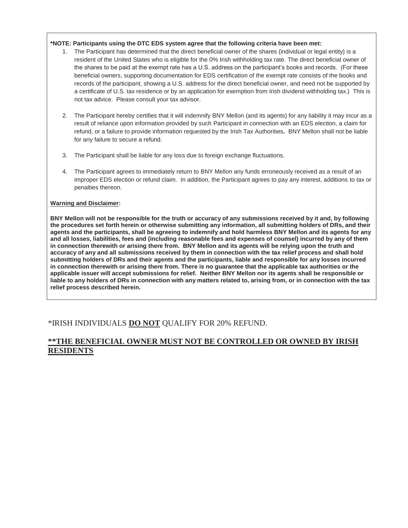#### **\*NOTE: Participants using the DTC EDS system agree that the following criteria have been met:**

- 1. The Participant has determined that the direct beneficial owner of the shares (individual or legal entity) is a resident of the United States who is eligible for the 0% Irish withholding tax rate. The direct beneficial owner of the shares to be paid at the exempt rate has a U.S. address on the participant's books and records. (For these beneficial owners, supporting documentation for EDS certification of the exempt rate consists of the books and records of the participant, showing a U.S. address for the direct beneficial owner, and need not be supported by a certificate of U.S. tax residence or by an application for exemption from Irish dividend withholding tax.) This is not tax advice. Please consult your tax advisor.
- 2. The Participant hereby certifies that it will indemnify BNY Mellon (and its agents) for any liability it may incur as a result of reliance upon information provided by such Participant in connection with an EDS election, a claim for refund, or a failure to provide information requested by the Irish Tax Authorities**.** BNY Mellon shall not be liable for any failure to secure a refund.
- 3. The Participant shall be liable for any loss due to foreign exchange fluctuations.
- 4. The Participant agrees to immediately return to BNY Mellon any funds erroneously received as a result of an improper EDS election or refund claim. In addition, the Participant agrees to pay any interest, additions to tax or penalties thereon.

#### **Warning and Disclaimer:**

**BNY Mellon will not be responsible for the truth or accuracy of any submissions received by it and, by following the procedures set forth herein or otherwise submitting any information, all submitting holders of DRs, and their agents and the participants, shall be agreeing to indemnify and hold harmless BNY Mellon and its agents for any and all losses, liabilities, fees and (including reasonable fees and expenses of counsel) incurred by any of them in connection therewith or arising there from. BNY Mellon and its agents will be relying upon the truth and accuracy of any and all submissions received by them in connection with the tax relief process and shall hold submitting holders of DRs and their agents and the participants, liable and responsible for any losses incurred in connection therewith or arising there from. There is no guarantee that the applicable tax authorities or the applicable issuer will accept submissions for relief. Neither BNY Mellon nor its agents shall be responsible or liable to any holders of DRs in connection with any matters related to, arising from, or in connection with the tax relief process described herein.**

## \*IRISH INDIVIDUALS **DO NOT** QUALIFY FOR 20% REFUND.

## **\*\*THE BENEFICIAL OWNER MUST NOT BE CONTROLLED OR OWNED BY IRISH RESIDENTS**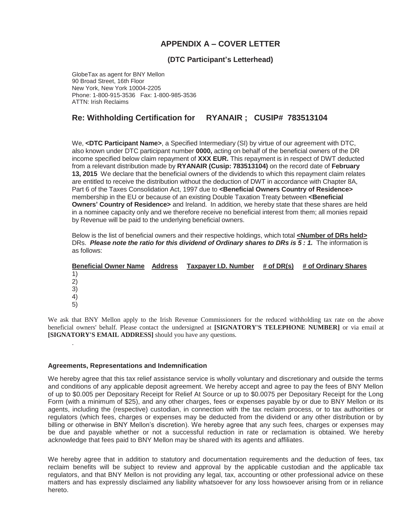## **APPENDIX A – COVER LETTER**

#### **(DTC Participant's Letterhead)**

GlobeTax as agent for BNY Mellon 90 Broad Street, 16th Floor New York, New York 10004-2205 Phone: 1-800-915-3536 Fax: 1-800-985-3536 ATTN: Irish Reclaims

#### **Re: Withholding Certification for RYANAIR ; CUSIP# 783513104**

We, **<DTC Participant Name>**, a Specified Intermediary (SI) by virtue of our agreement with DTC, also known under DTC participant number **0000,** acting on behalf of the beneficial owners of the DR income specified below claim repayment of **XXX EUR.** This repayment is in respect of DWT deducted from a relevant distribution made by **RYANAIR (Cusip: 783513104)** on the record date of **February 13, 2015** We declare that the beneficial owners of the dividends to which this repayment claim relates are entitled to receive the distribution without the deduction of DWT in accordance with Chapter 8A, Part 6 of the Taxes Consolidation Act, 1997 due to **<Beneficial Owners Country of Residence>** membership in the EU or because of an existing Double Taxation Treaty between **<Beneficial Owners' Country of Residence>** and Ireland. In addition, we hereby state that these shares are held in a nominee capacity only and we therefore receive no beneficial interest from them; all monies repaid by Revenue will be paid to the underlying beneficial owners.

Below is the list of beneficial owners and their respective holdings, which total **<Number of DRs held>** DRs. *Please note the ratio for this dividend of Ordinary shares to DRs is 5 : 1.* The information is as follows:

| <b>Beneficial Owner Name Address</b> | Taxpayer I.D. Number | # of DR(s) | # of Ordinary Shares |
|--------------------------------------|----------------------|------------|----------------------|
| 1)                                   |                      |            |                      |
| 2)                                   |                      |            |                      |
| 3)                                   |                      |            |                      |
| 4)                                   |                      |            |                      |
| 5)                                   |                      |            |                      |
|                                      |                      |            |                      |

We ask that BNY Mellon apply to the Irish Revenue Commissioners for the reduced withholding tax rate on the above beneficial owners' behalf. Please contact the undersigned at **[SIGNATORY'S TELEPHONE NUMBER]** or via email at **[SIGNATORY'S EMAIL ADDRESS]** should you have any questions.

#### **Agreements, Representations and Indemnification**

.

We hereby agree that this tax relief assistance service is wholly voluntary and discretionary and outside the terms and conditions of any applicable deposit agreement. We hereby accept and agree to pay the fees of BNY Mellon of up to \$0.005 per Depositary Receipt for Relief At Source or up to \$0.0075 per Depositary Receipt for the Long Form (with a minimum of \$25), and any other charges, fees or expenses payable by or due to BNY Mellon or its agents, including the (respective) custodian, in connection with the tax reclaim process, or to tax authorities or regulators (which fees, charges or expenses may be deducted from the dividend or any other distribution or by billing or otherwise in BNY Mellon's discretion). We hereby agree that any such fees, charges or expenses may be due and payable whether or not a successful reduction in rate or reclamation is obtained. We hereby acknowledge that fees paid to BNY Mellon may be shared with its agents and affiliates.

We hereby agree that in addition to statutory and documentation requirements and the deduction of fees, tax reclaim benefits will be subject to review and approval by the applicable custodian and the applicable tax regulators, and that BNY Mellon is not providing any legal, tax, accounting or other professional advice on these matters and has expressly disclaimed any liability whatsoever for any loss howsoever arising from or in reliance hereto.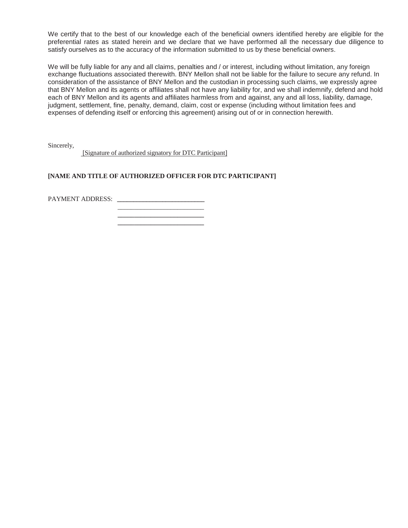We certify that to the best of our knowledge each of the beneficial owners identified hereby are eligible for the preferential rates as stated herein and we declare that we have performed all the necessary due diligence to satisfy ourselves as to the accuracy of the information submitted to us by these beneficial owners.

We will be fully liable for any and all claims, penalties and / or interest, including without limitation, any foreign exchange fluctuations associated therewith. BNY Mellon shall not be liable for the failure to secure any refund. In consideration of the assistance of BNY Mellon and the custodian in processing such claims, we expressly agree that BNY Mellon and its agents or affiliates shall not have any liability for, and we shall indemnify, defend and hold each of BNY Mellon and its agents and affiliates harmless from and against, any and all loss, liability, damage, judgment, settlement, fine, penalty, demand, claim, cost or expense (including without limitation fees and expenses of defending itself or enforcing this agreement) arising out of or in connection herewith.

Sincerely,

[Signature of authorized signatory for DTC Participant]

#### **[NAME AND TITLE OF AUTHORIZED OFFICER FOR DTC PARTICIPANT]**

PAYMENT ADDRESS:

 **\_\_\_\_\_\_\_\_\_\_\_\_\_\_\_\_\_\_\_\_\_\_\_\_\_\_ \_\_\_\_\_\_\_\_\_\_\_\_\_\_\_\_\_\_\_\_\_\_\_\_\_\_**